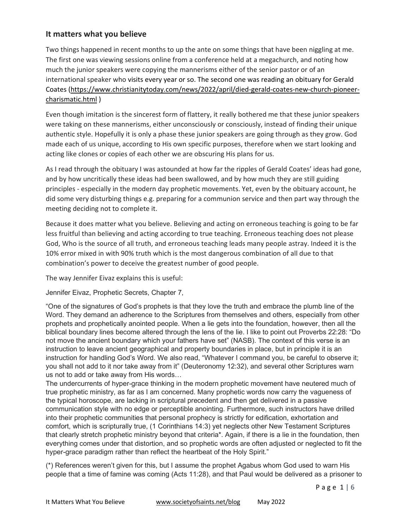## **It matters what you believe**

Two things happened in recent months to up the ante on some things that have been niggling at me. The first one was viewing sessions online from a conference held at a megachurch, and noting how much the junior speakers were copying the mannerisms either of the senior pastor or of an international speaker who visits every year or so. The second one was reading an obituary for Gerald Coates (https://www.christianitytoday.com/news/2022/april/died-gerald-coates-new-church-pioneercharismatic.html )

Even though imitation is the sincerest form of flattery, it really bothered me that these junior speakers were taking on these mannerisms, either unconsciously or consciously, instead of finding their unique authentic style. Hopefully it is only a phase these junior speakers are going through as they grow. God made each of us unique, according to His own specific purposes, therefore when we start looking and acting like clones or copies of each other we are obscuring His plans for us.

As I read through the obituary I was astounded at how far the ripples of Gerald Coates' ideas had gone, and by how uncritically these ideas had been swallowed, and by how much they are still guiding principles - especially in the modern day prophetic movements. Yet, even by the obituary account, he did some very disturbing things e.g. preparing for a communion service and then part way through the meeting deciding not to complete it.

Because it does matter what you believe. Believing and acting on erroneous teaching is going to be far less fruitful than believing and acting according to true teaching. Erroneous teaching does not please God, Who is the source of all truth, and erroneous teaching leads many people astray. Indeed it is the 10% error mixed in with 90% truth which is the most dangerous combination of all due to that combination's power to deceive the greatest number of good people.

The way Jennifer Eivaz explains this is useful:

Jennifer Eivaz, Prophetic Secrets, Chapter 7,

"One of the signatures of God's prophets is that they love the truth and embrace the plumb line of the Word. They demand an adherence to the Scriptures from themselves and others, especially from other prophets and prophetically anointed people. When a lie gets into the foundation, however, then all the biblical boundary lines become altered through the lens of the lie. I like to point out Proverbs 22:28: "Do not move the ancient boundary which your fathers have set" (NASB). The context of this verse is an instruction to leave ancient geographical and property boundaries in place, but in principle it is an instruction for handling God's Word. We also read, "Whatever I command you, be careful to observe it; you shall not add to it nor take away from it" (Deuteronomy 12:32), and several other Scriptures warn us not to add or take away from His words…

The undercurrents of hyper-grace thinking in the modern prophetic movement have neutered much of true prophetic ministry, as far as I am concerned. Many prophetic words now carry the vagueness of the typical horoscope, are lacking in scriptural precedent and then get delivered in a passive communication style with no edge or perceptible anointing. Furthermore, such instructors have drilled into their prophetic communities that personal prophecy is strictly for edification, exhortation and comfort, which is scripturally true, (1 Corinthians 14:3) yet neglects other New Testament Scriptures that clearly stretch prophetic ministry beyond that criteria\*. Again, if there is a lie in the foundation, then everything comes under that distortion, and so prophetic words are often adjusted or neglected to fit the hyper-grace paradigm rather than reflect the heartbeat of the Holy Spirit."

(\*) References weren't given for this, but I assume the prophet Agabus whom God used to warn His people that a time of famine was coming (Acts 11:28), and that Paul would be delivered as a prisoner to

P a g e 1 | 6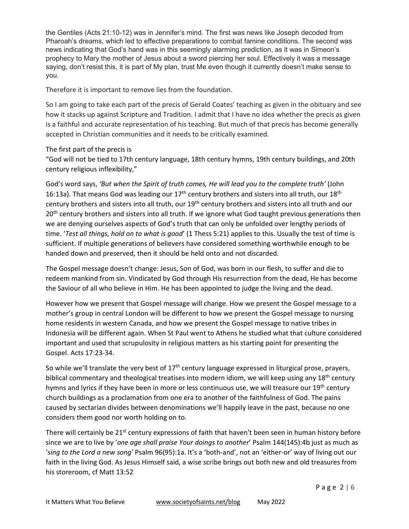the Gentiles (Acts 21:10-12) was in Jennifer's mind. The first was news like Joseph decoded from Pharoah's dreams, which led to effective preparations to combat famine conditions. The second was news indicating that God's hand was in this seemingly alarming prediction, as it was in Simeon's prophecy to Mary the mother of Jesus about a sword piercing her soul. Effectively it was a message saying, don't resist this, it is part of My plan, trust Me even though it currently doesn't make sense to you.

Therefore it is important to remove lies from the foundation.

So I am going to take each part of the precis of Gerald Coates' teaching as given in the obituary and see how it stacks up against Scripture and Tradition. I admit that I have no idea whether the precis as given is a faithful and accurate representation of his teaching. But much of that precis has become generally accepted in Christian communities and it needs to be critically examined.

## The first part of the precis is

"God will not be tied to 17th century language, 18th century hymns, 19th century buildings, and 20th century religious inflexibility,"

God's word says, *'But when the Spirit of truth comes, He will lead you to the complete truth'* (John 16:13a). That means God was leading our  $17<sup>th</sup>$  century brothers and sisters into all truth, our 18<sup>th</sup> century brothers and sisters into all truth, our 19<sup>th</sup> century brothers and sisters into all truth and our 20<sup>th</sup> century brothers and sisters into all truth. If we ignore what God taught previous generations then we are denying ourselves aspects of God's truth that can only be unfolded over lengthy periods of time. '*Test all things, hold on to what is good*' (1 Thess 5:21) applies to this. Usually the test of time is sufficient. If multiple generations of believers have considered something worthwhile enough to be handed down and preserved, then it should be held onto and not discarded.

The Gospel message doesn't change: Jesus, Son of God, was born in our flesh, to suffer and die to redeem mankind from sin. Vindicated by God through His resurrection from the dead, He has become the Saviour of all who believe in Him. He has been appointed to judge the living and the dead.

However how we present that Gospel message will change. How we present the Gospel message to a mother's group in central London will be different to how we present the Gospel message to nursing home residents in western Canada, and how we present the Gospel message to native tribes in Indonesia will be different again. When St Paul went to Athens he studied what that culture considered important and used that scrupulosity in religious matters as his starting point for presenting the Gospel. Acts 17:23-34.

So while we'll translate the very best of  $17<sup>th</sup>$  century language expressed in liturgical prose, prayers, biblical commentary and theological treatises into modern idiom, we will keep using any  $18<sup>th</sup>$  century hymns and lyrics if they have been in more or less continuous use, we will treasure our 19<sup>th</sup> century church buildings as a proclamation from one era to another of the faithfulness of God. The pains caused by sectarian divides between denominations we'll happily leave in the past, because no one considers them good nor worth holding on to.

There will certainly be 21<sup>st</sup> century expressions of faith that haven't been seen in human history before since we are to live by '*one age shall praise Your doings to another*' Psalm 144(145):4b just as much as '*sing to the Lord a new song'* Psalm 96(95):1a. It's a 'both-and', not an 'either-or' way of living out our faith in the living God. As Jesus Himself said, a wise scribe brings out both new and old treasures from his storeroom, cf Matt 13:52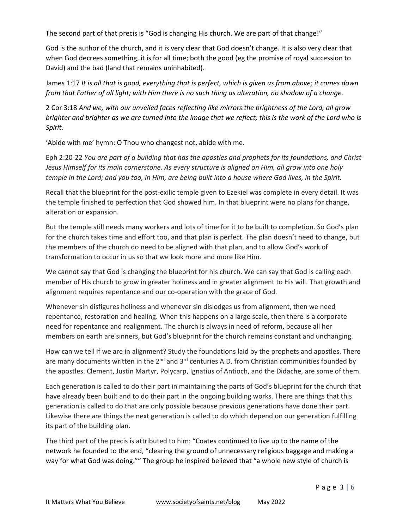The second part of that precis is "God is changing His church. We are part of that change!"

God is the author of the church, and it is very clear that God doesn't change. It is also very clear that when God decrees something, it is for all time; both the good (eg the promise of royal succession to David) and the bad (land that remains uninhabited).

James 1:17 *It is all that is good, everything that is perfect, which is given us from above; it comes down from that Father of all light; with Him there is no such thing as alteration, no shadow of a change.* 

2 Cor 3:18 *And we, with our unveiled faces reflecting like mirrors the brightness of the Lord, all grow brighter and brighter as we are turned into the image that we reflect; this is the work of the Lord who is Spirit.* 

'Abide with me' hymn: O Thou who changest not, abide with me.

Eph 2:20-22 *You are part of a building that has the apostles and prophets for its foundations, and Christ Jesus Himself for its main cornerstone. As every structure is aligned on Him, all grow into one holy temple in the Lord; and you too, in Him, are being built into a house where God lives, in the Spirit.* 

Recall that the blueprint for the post-exilic temple given to Ezekiel was complete in every detail. It was the temple finished to perfection that God showed him. In that blueprint were no plans for change, alteration or expansion.

But the temple still needs many workers and lots of time for it to be built to completion. So God's plan for the church takes time and effort too, and that plan is perfect. The plan doesn't need to change, but the members of the church do need to be aligned with that plan, and to allow God's work of transformation to occur in us so that we look more and more like Him.

We cannot say that God is changing the blueprint for his church. We can say that God is calling each member of His church to grow in greater holiness and in greater alignment to His will. That growth and alignment requires repentance and our co-operation with the grace of God.

Whenever sin disfigures holiness and whenever sin dislodges us from alignment, then we need repentance, restoration and healing. When this happens on a large scale, then there is a corporate need for repentance and realignment. The church is always in need of reform, because all her members on earth are sinners, but God's blueprint for the church remains constant and unchanging.

How can we tell if we are in alignment? Study the foundations laid by the prophets and apostles. There are many documents written in the  $2^{nd}$  and  $3^{rd}$  centuries A.D. from Christian communities founded by the apostles. Clement, Justin Martyr, Polycarp, Ignatius of Antioch, and the Didache, are some of them.

Each generation is called to do their part in maintaining the parts of God's blueprint for the church that have already been built and to do their part in the ongoing building works. There are things that this generation is called to do that are only possible because previous generations have done their part. Likewise there are things the next generation is called to do which depend on our generation fulfilling its part of the building plan.

The third part of the precis is attributed to him: "Coates continued to live up to the name of the network he founded to the end, "clearing the ground of unnecessary religious baggage and making a way for what God was doing."" The group he inspired believed that "a whole new style of church is

P a g e 3 | 6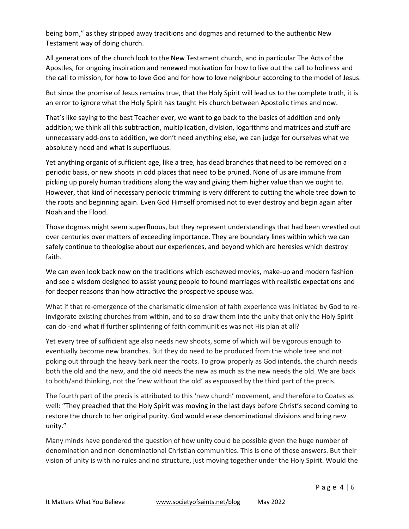being born," as they stripped away traditions and dogmas and returned to the authentic New Testament way of doing church.

All generations of the church look to the New Testament church, and in particular The Acts of the Apostles, for ongoing inspiration and renewed motivation for how to live out the call to holiness and the call to mission, for how to love God and for how to love neighbour according to the model of Jesus.

But since the promise of Jesus remains true, that the Holy Spirit will lead us to the complete truth, it is an error to ignore what the Holy Spirit has taught His church between Apostolic times and now.

That's like saying to the best Teacher ever, we want to go back to the basics of addition and only addition; we think all this subtraction, multiplication, division, logarithms and matrices and stuff are unnecessary add-ons to addition, we don't need anything else, we can judge for ourselves what we absolutely need and what is superfluous.

Yet anything organic of sufficient age, like a tree, has dead branches that need to be removed on a periodic basis, or new shoots in odd places that need to be pruned. None of us are immune from picking up purely human traditions along the way and giving them higher value than we ought to. However, that kind of necessary periodic trimming is very different to cutting the whole tree down to the roots and beginning again. Even God Himself promised not to ever destroy and begin again after Noah and the Flood.

Those dogmas might seem superfluous, but they represent understandings that had been wrestled out over centuries over matters of exceeding importance. They are boundary lines within which we can safely continue to theologise about our experiences, and beyond which are heresies which destroy faith.

We can even look back now on the traditions which eschewed movies, make-up and modern fashion and see a wisdom designed to assist young people to found marriages with realistic expectations and for deeper reasons than how attractive the prospective spouse was.

What if that re-emergence of the charismatic dimension of faith experience was initiated by God to reinvigorate existing churches from within, and to so draw them into the unity that only the Holy Spirit can do -and what if further splintering of faith communities was not His plan at all?

Yet every tree of sufficient age also needs new shoots, some of which will be vigorous enough to eventually become new branches. But they do need to be produced from the whole tree and not poking out through the heavy bark near the roots. To grow properly as God intends, the church needs both the old and the new, and the old needs the new as much as the new needs the old. We are back to both/and thinking, not the 'new without the old' as espoused by the third part of the precis.

The fourth part of the precis is attributed to this 'new church' movement, and therefore to Coates as well: "They preached that the Holy Spirit was moving in the last days before Christ's second coming to restore the church to her original purity. God would erase denominational divisions and bring new unity."

Many minds have pondered the question of how unity could be possible given the huge number of denomination and non-denominational Christian communities. This is one of those answers. But their vision of unity is with no rules and no structure, just moving together under the Holy Spirit. Would the

P a g e 4 | 6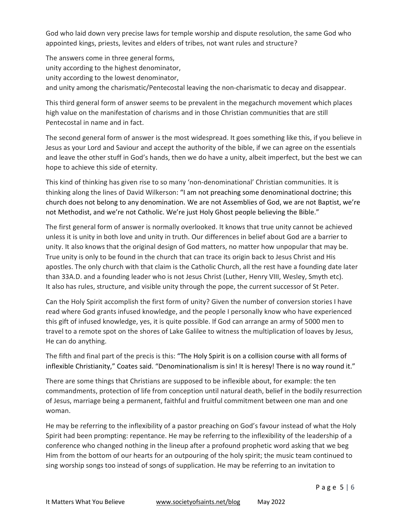God who laid down very precise laws for temple worship and dispute resolution, the same God who appointed kings, priests, levites and elders of tribes, not want rules and structure?

The answers come in three general forms, unity according to the highest denominator, unity according to the lowest denominator, and unity among the charismatic/Pentecostal leaving the non-charismatic to decay and disappear.

This third general form of answer seems to be prevalent in the megachurch movement which places high value on the manifestation of charisms and in those Christian communities that are still Pentecostal in name and in fact.

The second general form of answer is the most widespread. It goes something like this, if you believe in Jesus as your Lord and Saviour and accept the authority of the bible, if we can agree on the essentials and leave the other stuff in God's hands, then we do have a unity, albeit imperfect, but the best we can hope to achieve this side of eternity.

This kind of thinking has given rise to so many 'non-denominational' Christian communities. It is thinking along the lines of David Wilkerson: "I am not preaching some denominational doctrine; this church does not belong to any denomination. We are not Assemblies of God, we are not Baptist, we're not Methodist, and we're not Catholic. We're just Holy Ghost people believing the Bible."

The first general form of answer is normally overlooked. It knows that true unity cannot be achieved unless it is unity in both love and unity in truth. Our differences in belief about God are a barrier to unity. It also knows that the original design of God matters, no matter how unpopular that may be. True unity is only to be found in the church that can trace its origin back to Jesus Christ and His apostles. The only church with that claim is the Catholic Church, all the rest have a founding date later than 33A.D. and a founding leader who is not Jesus Christ (Luther, Henry VIII, Wesley, Smyth etc). It also has rules, structure, and visible unity through the pope, the current successor of St Peter.

Can the Holy Spirit accomplish the first form of unity? Given the number of conversion stories I have read where God grants infused knowledge, and the people I personally know who have experienced this gift of infused knowledge, yes, it is quite possible. If God can arrange an army of 5000 men to travel to a remote spot on the shores of Lake Galilee to witness the multiplication of loaves by Jesus, He can do anything.

The fifth and final part of the precis is this: "The Holy Spirit is on a collision course with all forms of inflexible Christianity," Coates said. "Denominationalism is sin! It is heresy! There is no way round it."

There are some things that Christians are supposed to be inflexible about, for example: the ten commandments, protection of life from conception until natural death, belief in the bodily resurrection of Jesus, marriage being a permanent, faithful and fruitful commitment between one man and one woman.

He may be referring to the inflexibility of a pastor preaching on God's favour instead of what the Holy Spirit had been prompting: repentance. He may be referring to the inflexibility of the leadership of a conference who changed nothing in the lineup after a profound prophetic word asking that we beg Him from the bottom of our hearts for an outpouring of the holy spirit; the music team continued to sing worship songs too instead of songs of supplication. He may be referring to an invitation to

P a g e 5 | 6